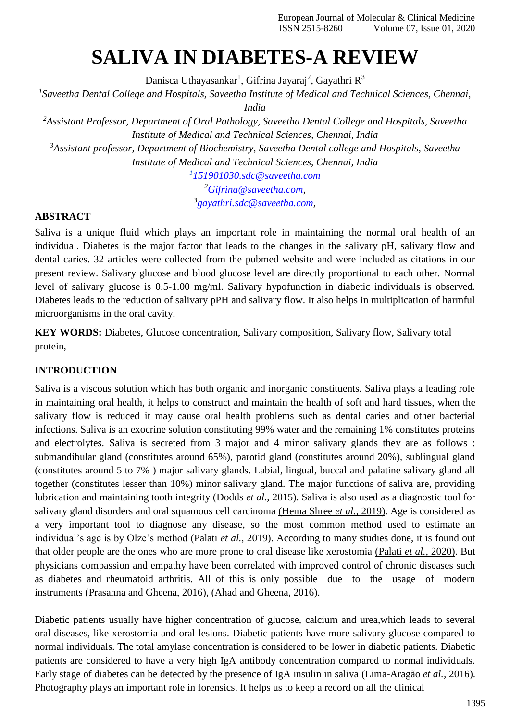# **SALIVA IN DIABETES-A REVIEW**

Danisca Uthayasankar<sup>1</sup>, Gifrina Jayaraj<sup>2</sup>, Gayathri R<sup>3</sup>

*1 Saveetha Dental College and Hospitals, Saveetha Institute of Medical and Technical Sciences, Chennai,* 

*India*

*<sup>2</sup>Assistant Professor, Department of Oral Pathology, Saveetha Dental College and Hospitals, Saveetha Institute of Medical and Technical Sciences, Chennai, India <sup>3</sup>Assistant professor, Department of Biochemistry, Saveetha Dental college and Hospitals, Saveetha*

*Institute of Medical and Technical Sciences, Chennai, India*

*1 [151901030.sdc@saveetha.com](mailto:151901030.sdc@saveetha.com) <sup>2</sup>[Gifrina@saveetha.com,](mailto:Gifrina@saveetha.com) 3 [gayathri.sdc@saveetha.com,](mailto:gayathri.sdc@saveetha.com)*

## **ABSTRACT**

Saliva is a unique fluid which plays an important role in maintaining the normal oral health of an individual. Diabetes is the major factor that leads to the changes in the salivary pH, salivary flow and dental caries. 32 articles were collected from the pubmed website and were included as citations in our present review. Salivary glucose and blood glucose level are directly proportional to each other. Normal level of salivary glucose is 0.5-1.00 mg/ml. Salivary hypofunction in diabetic individuals is observed. Diabetes leads to the reduction of salivary pPH and salivary flow. It also helps in multiplication of harmful microorganisms in the oral cavity.

**KEY WORDS:** Diabetes, Glucose concentration, Salivary composition, Salivary flow, Salivary total protein,

# **INTRODUCTION**

Saliva is a viscous solution which has both organic and inorganic constituents. Saliva plays a leading role in maintaining oral health, it helps to construct and maintain the health of soft and hard tissues, when the salivary flow is reduced it may cause oral health problems such as dental caries and other bacterial infections. Saliva is an exocrine solution constituting 99% water and the remaining 1% constitutes proteins and electrolytes. Saliva is secreted from 3 major and 4 minor salivary glands they are as follows : submandibular gland (constitutes around 65%), parotid gland (constitutes around 20%), sublingual gland (constitutes around 5 to 7% ) major salivary glands. Labial, lingual, buccal and palatine salivary gland all together (constitutes lesser than 10%) minor salivary gland. The major functions of saliva are, providing lubrication and maintaining tooth integrity [\(Dodds](https://paperpile.com/c/dXrFRK/UiicW) *et al.,* 2015). Saliva is also used as a diagnostic tool for salivary gland disorders and oral squamous cell carcinoma [\(Hema Shree](https://paperpile.com/c/dXrFRK/Cbs5Q) *et al.,* 2019). Age is considered as a very important tool to diagnose any disease, so the most common method used to estimate an individual's age is by Olze's method [\(Palati](https://paperpile.com/c/dXrFRK/16EXe) *et al.,* 2019). According to many studies done, it is found out that older people are the ones who are more prone to oral disease like xerostomia [\(Palati](https://paperpile.com/c/dXrFRK/FLMHD) *et al.,* 2020). But physicians compassion and empathy have been correlated with improved control of chronic diseases such as diabetes and rheumatoid arthritis. All of this is only possible due to the usage of modern instruments [\(Prasanna and Gheena, 2016\),](https://paperpile.com/c/dXrFRK/VoEFs) [\(Ahad and Gheena, 2016\).](https://paperpile.com/c/dXrFRK/Y3uUg)

Diabetic patients usually have higher concentration of glucose, calcium and urea,which leads to several oral diseases, like xerostomia and oral lesions. Diabetic patients have more salivary glucose compared to normal individuals. The total amylase concentration is considered to be lower in diabetic patients. Diabetic patients are considered to have a very high IgA antibody concentration compared to normal individuals. Early stage of diabetes can be detected by the presence of IgA insulin in saliva [\(Lima-Aragão](https://paperpile.com/c/dXrFRK/jHwNL) *et al.,* 2016). Photography plays an important role in forensics. It helps us to keep a record on all the clinical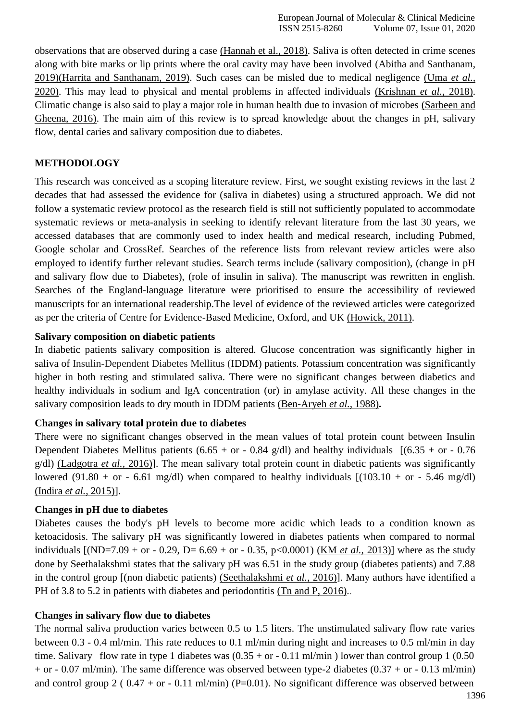observations that are observed during a case [\(Hannah et al., 2018\). S](https://paperpile.com/c/dXrFRK/EJm0E)aliva is often detected in crime scenes along with bite marks or lip prints where the oral cavity may have been involved [\(Abitha and Santhanam,](https://paperpile.com/c/dXrFRK/AjVN9) [2019\)\(Harrita and Santhanam, 2019\). S](https://paperpile.com/c/dXrFRK/AjVN9)uch cases can be misled due to medical negligence [\(Uma](https://paperpile.com/c/dXrFRK/W53sO) *et al.,* [2020\).](https://paperpile.com/c/dXrFRK/W53sO) This may lead to physical and mental problems in affected individuals [\(Krishnan](https://paperpile.com/c/dXrFRK/mwGRI) *et al.,* 2018). Climatic change is also said to play a major role in human health due to invasion of microbes [\(Sarbeen and](https://paperpile.com/c/dXrFRK/0b26) [Gheena, 2016\).](https://paperpile.com/c/dXrFRK/0b26) The main aim of this review is to spread knowledge about the changes in pH, salivary flow, dental caries and salivary composition due to diabetes.

## **METHODOLOGY**

This research was conceived as a scoping literature review. First, we sought existing reviews in the last 2 decades that had assessed the evidence for (saliva in diabetes) using a structured approach. We did not follow a systematic review protocol as the research field is still not sufficiently populated to accommodate systematic reviews or meta-analysis in seeking to identify relevant literature from the last 30 years, we accessed databases that are commonly used to index health and medical research, including Pubmed, Google scholar and CrossRef. Searches of the reference lists from relevant review articles were also employed to identify further relevant studies. Search terms include (salivary composition), (change in pH and salivary flow due to Diabetes), (role of insulin in saliva). The manuscript was rewritten in english. Searches of the England-language literature were prioritised to ensure the accessibility of reviewed manuscripts for an international readership.The level of evidence of the reviewed articles were categorized as per the criteria of Centre for Evidence-Based Medicine, Oxford, and UK [\(Howick, 2011\).](https://paperpile.com/c/dXrFRK/j5A9)

#### **Salivary composition on diabetic patients**

In diabetic patients salivary composition is altered. Glucose concentration was significantly higher in saliva of Insulin-Dependent Diabetes Mellitus (IDDM) patients. Potassium concentration was significantly higher in both resting and stimulated saliva. There were no significant changes between diabetics and healthy individuals in sodium and IgA concentration (or) in amylase activity. All these changes in the salivary composition leads to dry mouth in IDDM patients [\(Ben-Aryeh](https://paperpile.com/c/dXrFRK/VL0oN) *et al.,* 1988)**.**

#### **Changes in salivary total protein due to diabetes**

There were no significant changes observed in the mean values of total protein count between Insulin Dependent Diabetes Mellitus patients (6.65 + or - 0.84 g/dl) and healthy individuals  $[(6.35 + or - 0.76$ g/dl) [\(Ladgotra](https://paperpile.com/c/dXrFRK/0Y6d) *et al.,* 2016)]. The mean salivary total protein count in diabetic patients was significantly lowered (91.80 + or - 6.61 mg/dl) when compared to healthy individuals  $[(103.10 + or - 5.46 \text{ mg/d}])$ [\(Indira](https://paperpile.com/c/dXrFRK/nnaK) *et al.,* 2015)].

#### **Changes in pH due to diabetes**

Diabetes causes the body's pH levels to become more acidic which leads to a condition known as ketoacidosis. The salivary pH was significantly lowered in diabetes patients when compared to normal individuals [(ND=7.09 + or - 0.29, D= 6.69 + or - 0.35, p<0.0001) (KM *[et al.,](https://paperpile.com/c/dXrFRK/371GT)* 2013)] where as the study done by Seethalakshmi states that the salivary pH was 6.51 in the study group (diabetes patients) and 7.88 in the control group [(non diabetic patients) [\(Seethalakshmi](https://paperpile.com/c/dXrFRK/Kzr2s) *et al.,* 2016)]. Many authors have identified a PH of 3.8 to 5.2 in patients with diabetes and periodontitis [\(Tn and P, 2016\).](https://paperpile.com/c/dXrFRK/s3bLg)

#### **Changes in salivary flow due to diabetes**

The normal saliva production varies between 0.5 to 1.5 liters. The unstimulated salivary flow rate varies between 0.3 - 0.4 ml/min. This rate reduces to 0.1 ml/min during night and increases to 0.5 ml/min in day time. Salivary flow rate in type 1 diabetes was  $(0.35 + or - 0.11 \text{ ml/min})$  lower than control group 1 (0.50) + or - 0.07 ml/min). The same difference was observed between type-2 diabetes  $(0.37 + or - 0.13$  ml/min) and control group 2 (  $0.47 + or - 0.11$  ml/min) (P=0.01). No significant difference was observed between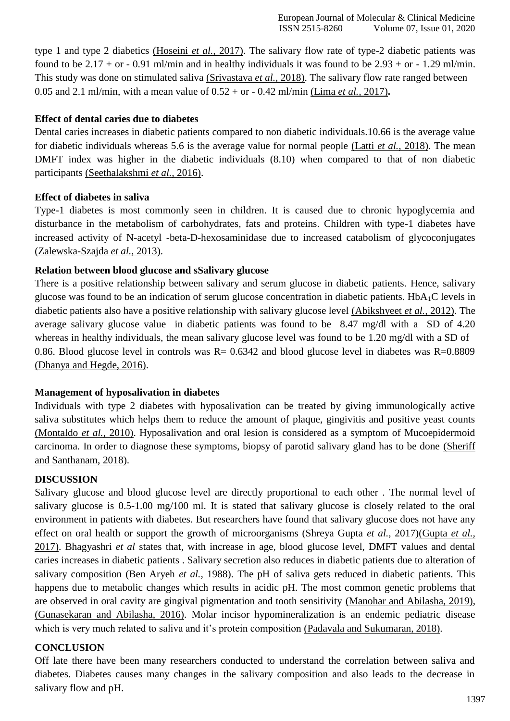type 1 and type 2 diabetics [\(Hoseini](https://paperpile.com/c/dXrFRK/f87fJ) *et al.,* 2017). The salivary flow rate of type-2 diabetic patients was found to be  $2.17 +$  or  $- 0.91$  ml/min and in healthy individuals it was found to be  $2.93 +$  or  $- 1.29$  ml/min. This study was done on stimulated saliva [\(Srivastava](https://paperpile.com/c/dXrFRK/Rw6TH) *et al.,* 2018). The salivary flow rate ranged between 0.05 and 2.1 ml/min, with a mean value of 0.52 + or - 0.42 ml/min [\(Lima](https://paperpile.com/c/dXrFRK/2XqPu) *et al.,* 2017)**.**

## **Effect of dental caries due to diabetes**

Dental caries increases in diabetic patients compared to non diabetic individuals.10.66 is the average value for diabetic individuals whereas 5.6 is the average value for normal people [\(Latti](https://paperpile.com/c/dXrFRK/RUguZ) *et al.,* 2018). The mean DMFT index was higher in the diabetic individuals (8.10) when compared to that of non diabetic participants [\(Seethalakshmi](https://paperpile.com/c/dXrFRK/Kzr2s) *et al.,* 2016).

## **Effect of diabetes in saliva**

Type-1 diabetes is most commonly seen in children. It is caused due to chronic hypoglycemia and disturbance in the metabolism of carbohydrates, fats and proteins. Children with type-1 diabetes have increased activity of N-acetyl -beta-D-hexosaminidase due to increased catabolism of glycoconjugates [\(Zalewska-Szajda](https://paperpile.com/c/dXrFRK/AwoGt) *et al.,* 2013).

#### **Relation between blood glucose and sSalivary glucose**

There is a positive relationship between salivary and serum glucose in diabetic patients. Hence, salivary glucose was found to be an indication of serum glucose concentration in diabetic patients. HbA1C levels in diabetic patients also have a positive relationship with salivary glucose level [\(Abikshyeet](https://paperpile.com/c/dXrFRK/LYBb8) *et al.,* 2012). The average salivary glucose value in diabetic patients was found to be 8.47 mg/dl with a SD of 4.20 whereas in healthy individuals, the mean salivary glucose level was found to be 1.20 mg/dl with a SD of 0.86. Blood glucose level in controls was  $R = 0.6342$  and blood glucose level in diabetes was  $R = 0.8809$ [\(Dhanya and Hegde, 2016\).](https://paperpile.com/c/dXrFRK/brHQB)

#### **Management of hyposalivation in diabetes**

Individuals with type 2 diabetes with hyposalivation can be treated by giving immunologically active saliva substitutes which helps them to reduce the amount of plaque, gingivitis and positive yeast counts [\(Montaldo](https://paperpile.com/c/dXrFRK/fCxr0) *et al.,* 2010). Hyposalivation and oral lesion is considered as a symptom of Mucoepidermoid carcinoma. In order to diagnose these symptoms, biopsy of parotid salivary gland has to be done [\(Sheriff](https://paperpile.com/c/dXrFRK/aKiRr) [and Santhanam,](https://paperpile.com/c/dXrFRK/aKiRr) 2018).

# **DISCUSSION**

Salivary glucose and blood glucose level are directly proportional to each other . The normal level of salivary glucose is 0.5-1.00 mg/100 ml. It is stated that salivary glucose is closely related to the oral environment in patients with diabetes. But researchers have found that salivary glucose does not have any effect on oral health or support the growth of microorganisms (Shreya Gupta *et al.,* 2017[\)\(Gupta](https://paperpile.com/c/dXrFRK/rw0Sf) *et al.,* [2017\). B](https://paperpile.com/c/dXrFRK/rw0Sf)hagyashri *et al* states that, with increase in age, blood glucose level, DMFT values and dental caries increases in diabetic patients . Salivary secretion also reduces in diabetic patients due to alteration of salivary composition (Ben Aryeh *et al.,* 1988). The pH of saliva gets reduced in diabetic patients. This happens due to metabolic changes which results in acidic pH. The most common genetic problems that are observed in oral cavity are gingival pigmentation and tooth sensitivity [\(Manohar and Abilasha, 2019\),](https://paperpile.com/c/dXrFRK/lMEhr) [\(Gunasekaran and Abilasha, 2016\).](https://paperpile.com/c/dXrFRK/qpXet) Molar incisor hypomineralization is an endemic pediatric disease which is very much related to saliva and it's protein composition [\(Padavala and Sukumaran,](https://paperpile.com/c/dXrFRK/2lr2c) 2018).

# **CONCLUSION**

Off late there have been many researchers conducted to understand the correlation between saliva and diabetes. Diabetes causes many changes in the salivary composition and also leads to the decrease in salivary flow and pH.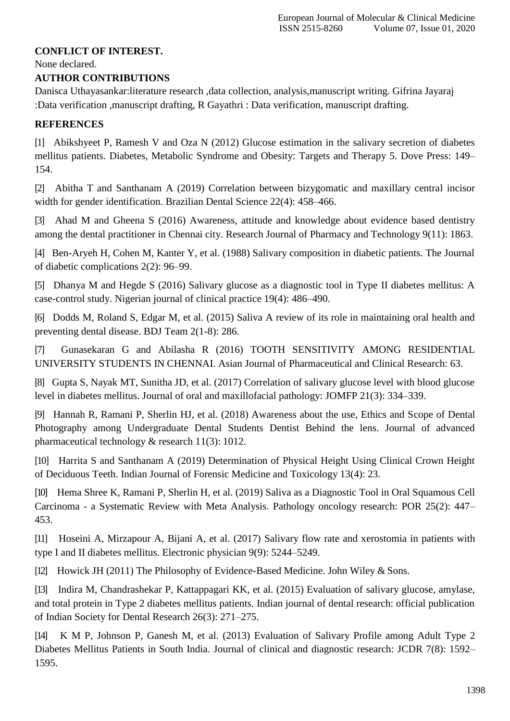## **CONFLICT OF INTEREST.**

None declared.

## **AUTHOR CONTRIBUTIONS**

Danisca Uthayasankar:literature research ,data collection, analysis,manuscript writing. Gifrina Jayaraj :Data verification ,manuscript drafting, R Gayathri : Data verification, manuscript drafting.

# **REFERENCES**

[1] [Abikshyeet P, Ramesh V and Oza N \(2012\) Glucose estimation in the salivary secretion of diabetes](http://paperpile.com/b/dXrFRK/LYBb8) [mellitus patients. Diabetes, Metabolic Syndrome and Obesity: Targets and Therapy 5. Dove Press: 149–](http://paperpile.com/b/dXrFRK/LYBb8) [154.](http://paperpile.com/b/dXrFRK/LYBb8)

[2] [Abitha T and Santhanam A \(2019\) Correlation between bizygomatic and maxillary central incisor](http://paperpile.com/b/dXrFRK/AjVN9) [width for gender identification. Brazilian Dental Science 22\(4\):](http://paperpile.com/b/dXrFRK/AjVN9) 458–466.

[3] [Ahad M and Gheena S \(2016\) Awareness, attitude and knowledge about evidence based dentistry](http://paperpile.com/b/dXrFRK/Y3uUg) [among the dental practitioner in Chennai city. Research Journal of Pharmacy and Technology 9\(11\):](http://paperpile.com/b/dXrFRK/Y3uUg) 1863.

[4] [Ben-Aryeh H, Cohen M, Kanter Y, et al. \(1988\) Salivary composition in diabetic patients. The Journal](http://paperpile.com/b/dXrFRK/VL0oN) [of diabetic complications 2\(2\):](http://paperpile.com/b/dXrFRK/VL0oN) 96–99.

[5] [Dhanya M and Hegde S \(2016\) Salivary glucose as a diagnostic tool in Type II diabetes mellitus: A](http://paperpile.com/b/dXrFRK/brHQB) [case-control study. Nigerian journal of clinical practice 19\(4\):](http://paperpile.com/b/dXrFRK/brHQB) 486–490.

[6] [Dodds M, Roland S, Edgar M, et al. \(2015\) Saliva A review of its role in maintaining oral health and](http://paperpile.com/b/dXrFRK/UiicW) [preventing dental disease. BDJ Team 2\(1-8\):](http://paperpile.com/b/dXrFRK/UiicW) 286.

[7] [Gunasekaran G and Abilasha R \(2016\) TOOTH SENSITIVITY AMONG RESIDENTIAL](http://paperpile.com/b/dXrFRK/qpXet) [UNIVERSITY STUDENTS IN CHENNAI. Asian Journal of Pharmaceutical and Clinical Research:](http://paperpile.com/b/dXrFRK/qpXet) 63.

[8] [Gupta S, Nayak MT, Sunitha JD, et al. \(2017\) Correlation of salivary glucose level with blood glucose](http://paperpile.com/b/dXrFRK/rw0Sf) [level in diabetes mellitus. Journal of oral and maxillofacial pathology: JOMFP 21\(3\):](http://paperpile.com/b/dXrFRK/rw0Sf) 334–339.

[9] [Hannah R, Ramani P, Sherlin HJ, et al. \(2018\) Awareness about the use, Ethics and Scope of Dental](http://paperpile.com/b/dXrFRK/EJm0E) [Photography among Undergraduate Dental Students Dentist Behind the lens. Journal of advanced](http://paperpile.com/b/dXrFRK/EJm0E) [pharmaceutical technology & research 11\(3\):](http://paperpile.com/b/dXrFRK/EJm0E) 1012.

[10] [Harrita S and Santhanam A \(2019\) Determination of Physical Height Using Clinical Crown Height](http://paperpile.com/b/dXrFRK/VnYxy) [of Deciduous Teeth. Indian Journal of Forensic Medicine and Toxicology 13\(4\):](http://paperpile.com/b/dXrFRK/VnYxy) 23.

[10] [Hema Shree K, Ramani P, Sherlin H, et al. \(2019\) Saliva as a Diagnostic Tool in Oral Squamous Cell](http://paperpile.com/b/dXrFRK/Cbs5Q) Carcinoma - [a Systematic Review with Meta Analysis. Pathology oncology research: POR 25\(2\): 447–](http://paperpile.com/b/dXrFRK/Cbs5Q) [453.](http://paperpile.com/b/dXrFRK/Cbs5Q)

[11] [Hoseini A, Mirzapour A, Bijani A, et al. \(2017\) Salivary flow rate and xerostomia in patients with](http://paperpile.com/b/dXrFRK/f87fJ) [type I and II diabetes mellitus. Electronic physician 9\(9\):](http://paperpile.com/b/dXrFRK/f87fJ) 5244–5249.

[12] [Howick JH \(2011\) The Philosophy of Evidence-Based Medicine. John Wiley &](http://paperpile.com/b/dXrFRK/j5A9) Sons.

[13] [Indira M, Chandrashekar P, Kattappagari KK, et al. \(2015\) Evaluation of](http://paperpile.com/b/dXrFRK/nnaK) salivary glucose, amylase[,](http://paperpile.com/b/dXrFRK/nnaK) [and total protein in Type 2 diabetes mellitus patients. Indian journal of dental research: official publication](http://paperpile.com/b/dXrFRK/nnaK) [of Indian Society for Dental Research 26\(3\):](http://paperpile.com/b/dXrFRK/nnaK) 271–275.

[14] [K M P, Johnson P, Ganesh M, et al. \(2013\) Evaluation of Salivary Profile among Adult Type 2](http://paperpile.com/b/dXrFRK/371GT) Diabetes [Mellitus Patients in South India. Journal of clinical and diagnostic research: JCDR 7\(8\): 1592–](http://paperpile.com/b/dXrFRK/371GT) [1595.](http://paperpile.com/b/dXrFRK/371GT)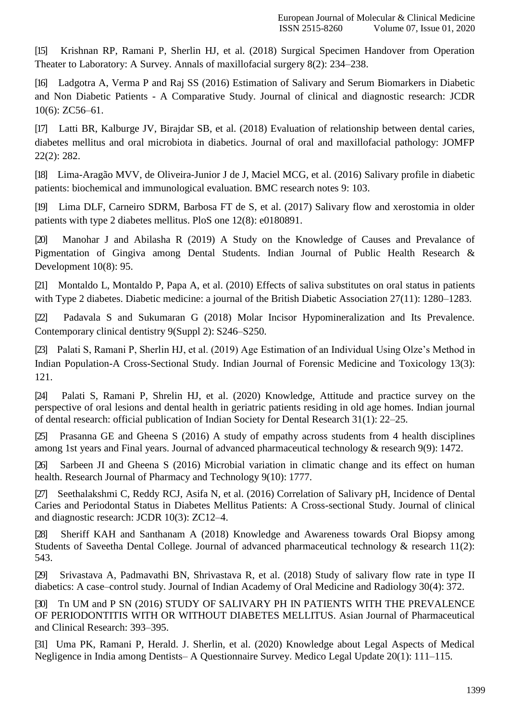[15] [Krishnan RP, Ramani P, Sherlin HJ, et al. \(2018\) Surgical Specimen Handover from Operation](http://paperpile.com/b/dXrFRK/mwGRI) [Theater to Laboratory: A Survey. Annals of maxillofacial surgery 8\(2\):](http://paperpile.com/b/dXrFRK/mwGRI) 234–238.

[16] [Ladgotra A, Verma P and Raj SS \(2016\) Estimation of Salivary and Serum Biomarkers in Diabetic](http://paperpile.com/b/dXrFRK/0Y6d) and Non Diabetic Patients - [A Comparative Study. Journal of clinical and diagnostic research: JCDR](http://paperpile.com/b/dXrFRK/0Y6d) 10(6): [ZC56–61.](http://paperpile.com/b/dXrFRK/0Y6d)

[17] [Latti BR, Kalburge JV, Birajdar SB, et al. \(2018\) Evaluation of relationship between dental caries,](http://paperpile.com/b/dXrFRK/RUguZ) [diabetes mellitus and oral microbiota in diabetics. Journal of oral and maxillofacial pathology: JOMFP](http://paperpile.com/b/dXrFRK/RUguZ) [22\(2\):](http://paperpile.com/b/dXrFRK/RUguZ) 282.

[18] Lima-Aragão MVV, [de Oliveira-Junior J de J, Maciel MCG, et al. \(2016\) Salivary profile in diabetic](http://paperpile.com/b/dXrFRK/jHwNL) [patients: biochemical and immunological evaluation. BMC research notes 9:](http://paperpile.com/b/dXrFRK/jHwNL) 103.

[19] [Lima DLF, Carneiro SDRM, Barbosa FT de S, et al. \(2017\) Salivary flow and xerostomia in older](http://paperpile.com/b/dXrFRK/2XqPu) [patients with type 2 diabetes mellitus. PloS one 12\(8\):](http://paperpile.com/b/dXrFRK/2XqPu) e0180891.

[20] [Manohar J and Abilasha R \(2019\) A Study on the Knowledge of Causes and Prevalance of](http://paperpile.com/b/dXrFRK/lMEhr) [Pigmentation of Gingiva among Dental Students. Indian Journal of Public Health Research &](http://paperpile.com/b/dXrFRK/lMEhr) [Development 10\(8\):](http://paperpile.com/b/dXrFRK/lMEhr) 95.

[21] [Montaldo L, Montaldo P, Papa A, et al. \(2010\) Effects of saliva substitutes on oral status in patients](http://paperpile.com/b/dXrFRK/fCxr0) [with Type 2 diabetes. Diabetic medicine: a journal of the British Diabetic Association 27\(11\):](http://paperpile.com/b/dXrFRK/fCxr0) 1280–1283.

[22] [Padavala S and Sukumaran G \(2018\) Molar Incisor Hypomineralization and Its Prevalence.](http://paperpile.com/b/dXrFRK/2lr2c) [Contemporary clinical dentistry 9\(Suppl 2\):](http://paperpile.com/b/dXrFRK/2lr2c) S246–S250.

[23] [Palati S, Ramani P, Sherlin HJ, et al. \(2019\) Age Estimation of an Individual Using Olze's Method in](http://paperpile.com/b/dXrFRK/16EXe) [Indian Population-A Cross-Sectional Study. Indian Journal of Forensic Medicine and Toxicology 13\(3\):](http://paperpile.com/b/dXrFRK/16EXe) [121.](http://paperpile.com/b/dXrFRK/16EXe)

[24] [Palati S, Ramani P, Shrelin HJ, et al. \(2020\) Knowledge, Attitude and practice survey on the](http://paperpile.com/b/dXrFRK/FLMHD) [perspective of oral lesions and dental health in geriatric patients residing in old age homes. Indian journal](http://paperpile.com/b/dXrFRK/FLMHD) [of dental research: official publication of Indian Society for Dental Research 31\(1\):](http://paperpile.com/b/dXrFRK/FLMHD) 22–25.

[25] [Prasanna GE and Gheena S \(2016\) A study of empathy across students from 4 health disciplines](http://paperpile.com/b/dXrFRK/VoEFs) among 1st years and Final years. Journal of [advanced pharmaceutical technology & research 9\(9\):](http://paperpile.com/b/dXrFRK/VoEFs) 1472.

[26] [Sarbeen JI and Gheena S \(2016\) Microbial variation in climatic change and its effect on human](http://paperpile.com/b/dXrFRK/0b26) [health. Research Journal of Pharmacy and Technology 9\(10\):](http://paperpile.com/b/dXrFRK/0b26) 1777.

[27] [Seethalakshmi C, Reddy RCJ, Asifa N, et al. \(2016\) Correlation of Salivary pH, Incidence of Dental](http://paperpile.com/b/dXrFRK/Kzr2s) [Caries and Periodontal Status in Diabetes Mellitus Patients: A Cross-sectional Study. Journal of clinical](http://paperpile.com/b/dXrFRK/Kzr2s) [and diagnostic research:](http://paperpile.com/b/dXrFRK/Kzr2s) JCDR 10(3): ZC12–4.

[28] [Sheriff KAH and Santhanam A \(2018\) Knowledge and Awareness towards Oral Biopsy among](http://paperpile.com/b/dXrFRK/aKiRr) [Students of Saveetha Dental College. Journal of advanced pharmaceutical technology & research 11\(2\):](http://paperpile.com/b/dXrFRK/aKiRr) [543.](http://paperpile.com/b/dXrFRK/aKiRr)

[29] [Srivastava A, Padmavathi BN, Shrivastava R, et al. \(2018\) Study of salivary flow](http://paperpile.com/b/dXrFRK/Rw6TH) rate in type I[I](http://paperpile.com/b/dXrFRK/Rw6TH) [diabetics: A case–control study. Journal of Indian Academy of Oral Medicine and Radiology 30\(4\):](http://paperpile.com/b/dXrFRK/Rw6TH) 372.

[30] Tn UM and P SN (2016) STUDY [OF SALIVARY PH IN PATIENTS WITH THE PREVALENCE](http://paperpile.com/b/dXrFRK/s3bLg) [OF PERIODONTITIS WITH OR WITHOUT DIABETES MELLITUS. Asian Journal of Pharmaceutical](http://paperpile.com/b/dXrFRK/s3bLg) [and Clinical Research:](http://paperpile.com/b/dXrFRK/s3bLg) 393–395.

[31] [Uma PK, Ramani P, Herald. J. Sherlin, et al. \(2020\) Knowledge about Legal Aspects of Medical](http://paperpile.com/b/dXrFRK/W53sO) Negligence in India among Dentists– [A Questionnaire Survey. Medico Legal Update 20\(1\):](http://paperpile.com/b/dXrFRK/W53sO) 111–115.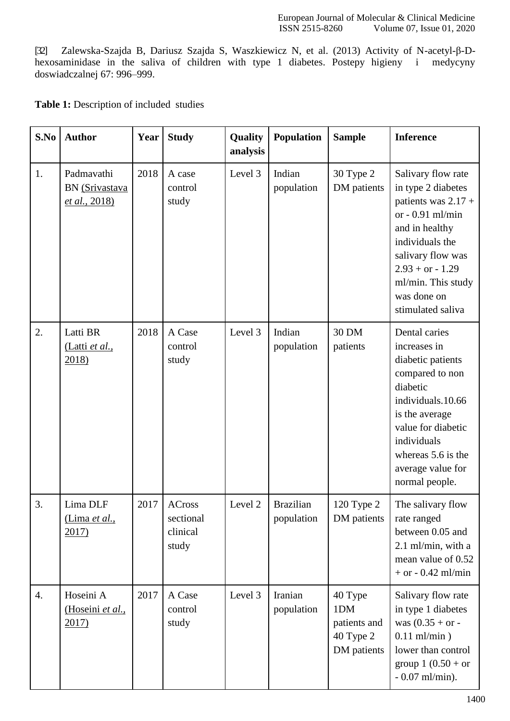[32] [Zalewska-Szajda B, Dariusz Szajda S, Waszkiewicz N, et al. \(2013\) Activity of N-acetyl-β-D](http://paperpile.com/b/dXrFRK/AwoGt)[hexosaminidase in the saliva of children with type 1 diabetes. Postepy higieny i medycyny](http://paperpile.com/b/dXrFRK/AwoGt) [doswiadczalnej 67:](http://paperpile.com/b/dXrFRK/AwoGt) 996–999.

| <b>Table 1:</b> Description of included studies |  |  |
|-------------------------------------------------|--|--|
|-------------------------------------------------|--|--|

| S.No | <b>Author</b>                                 | Year | <b>Study</b>                                    | Quality<br>analysis | Population                     | <b>Sample</b>                                              | <b>Inference</b>                                                                                                                                                                                                                 |
|------|-----------------------------------------------|------|-------------------------------------------------|---------------------|--------------------------------|------------------------------------------------------------|----------------------------------------------------------------------------------------------------------------------------------------------------------------------------------------------------------------------------------|
| 1.   | Padmavathi<br>BN (Srivastava<br>et al., 2018) | 2018 | A case<br>control<br>study                      | Level 3             | Indian<br>population           | 30 Type 2<br>DM patients                                   | Salivary flow rate<br>in type 2 diabetes<br>patients was $2.17 +$<br>or $-0.91$ ml/min<br>and in healthy<br>individuals the<br>salivary flow was<br>$2.93 + or - 1.29$<br>ml/min. This study<br>was done on<br>stimulated saliva |
| 2.   | Latti BR<br><u>(Latti et al.,</u><br>$2018$ ) | 2018 | A Case<br>control<br>study                      | Level 3             | Indian<br>population           | 30 DM<br>patients                                          | Dental caries<br>increases in<br>diabetic patients<br>compared to non<br>diabetic<br>individuals.10.66<br>is the average<br>value for diabetic<br>individuals<br>whereas 5.6 is the<br>average value for<br>normal people.       |
| 3.   | Lima DLF<br>(Lima et al.,<br>2017)            | 2017 | <b>ACross</b><br>sectional<br>clinical<br>study | Level 2             | <b>Brazilian</b><br>population | 120 Type 2<br>DM patients                                  | The salivary flow<br>rate ranged<br>between 0.05 and<br>2.1 ml/min, with a<br>mean value of 0.52<br>$+$ or $-$ 0.42 ml/min                                                                                                       |
| 4.   | Hoseini A<br>(Hoseini et al.,<br>2017)        | 2017 | A Case<br>control<br>study                      | Level 3             | Iranian<br>population          | 40 Type<br>1DM<br>patients and<br>40 Type 2<br>DM patients | Salivary flow rate<br>in type 1 diabetes<br>was $(0.35 + or -$<br>$0.11$ ml/min)<br>lower than control<br>group $1 (0.50 + or)$<br>$-0.07$ ml/min).                                                                              |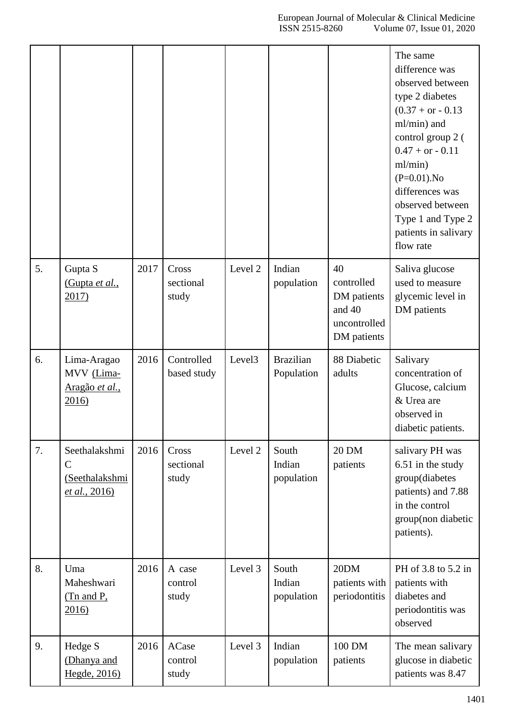|    |                                                                  |      |                             |                    |                                |                                                                          | The same<br>difference was<br>observed between<br>type 2 diabetes<br>$(0.37 + or - 0.13)$<br>ml/min) and<br>control group 2 (<br>$0.47 + or - 0.11$<br>ml/min)<br>$(P=0.01)$ . No<br>differences was<br>observed between<br>Type 1 and Type 2<br>patients in salivary<br>flow rate |
|----|------------------------------------------------------------------|------|-----------------------------|--------------------|--------------------------------|--------------------------------------------------------------------------|------------------------------------------------------------------------------------------------------------------------------------------------------------------------------------------------------------------------------------------------------------------------------------|
| 5. | Gupta S<br>(Gupta et al.,<br>2017)                               | 2017 | Cross<br>sectional<br>study | Level <sub>2</sub> | Indian<br>population           | 40<br>controlled<br>DM patients<br>and 40<br>uncontrolled<br>DM patients | Saliva glucose<br>used to measure<br>glycemic level in<br>DM patients                                                                                                                                                                                                              |
| 6. | Lima-Aragao<br>MVV (Lima-<br>Aragão et al.,<br>2016              | 2016 | Controlled<br>based study   | Level <sub>3</sub> | <b>Brazilian</b><br>Population | 88 Diabetic<br>adults                                                    | Salivary<br>concentration of<br>Glucose, calcium<br>& Urea are<br>observed in<br>diabetic patients.                                                                                                                                                                                |
| 7. | Seethalakshmi<br>$\mathsf{C}$<br>(Seethalakshmi<br>et al., 2016) | 2016 | Cross<br>sectional<br>study | Level 2            | South<br>Indian<br>population  | 20 DM<br>patients                                                        | salivary PH was<br>6.51 in the study<br>group(diabetes<br>patients) and 7.88<br>in the control<br>group(non diabetic<br>patients).                                                                                                                                                 |
| 8. | Uma<br>Maheshwari<br>$(Tn$ and P,<br>2016                        | 2016 | A case<br>control<br>study  | Level 3            | South<br>Indian<br>population  | 20DM<br>patients with<br>periodontitis                                   | PH of 3.8 to 5.2 in<br>patients with<br>diabetes and<br>periodontitis was<br>observed                                                                                                                                                                                              |
| 9. | Hedge S<br>(Dhanya and<br>Hegde, 2016)                           | 2016 | ACase<br>control<br>study   | Level 3            | Indian<br>population           | 100 DM<br>patients                                                       | The mean salivary<br>glucose in diabetic<br>patients was 8.47                                                                                                                                                                                                                      |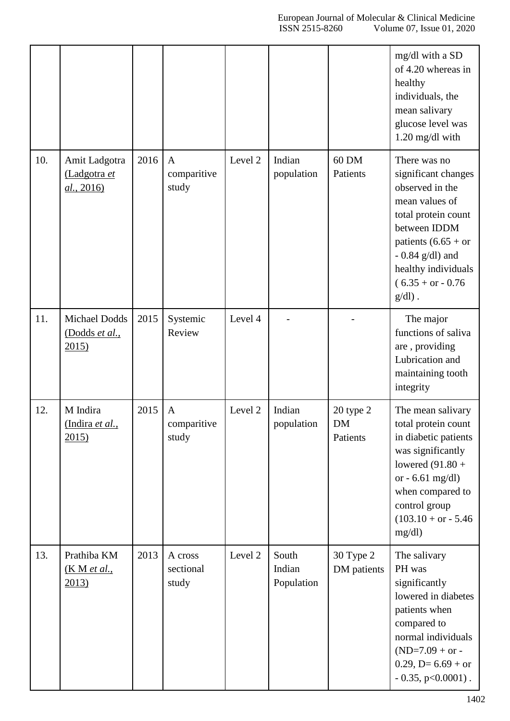|     |                                             |      |                                      |         |                               |                                    | mg/dl with a SD<br>of 4.20 whereas in<br>healthy<br>individuals, the<br>mean salivary<br>glucose level was<br>$1.20$ mg/dl with                                                                                           |
|-----|---------------------------------------------|------|--------------------------------------|---------|-------------------------------|------------------------------------|---------------------------------------------------------------------------------------------------------------------------------------------------------------------------------------------------------------------------|
| 10. | Amit Ladgotra<br>(Ladgotra et<br>al., 2016) | 2016 | $\mathbf{A}$<br>comparitive<br>study | Level 2 | Indian<br>population          | 60 DM<br>Patients                  | There was no<br>significant changes<br>observed in the<br>mean values of<br>total protein count<br>between IDDM<br>patients $(6.65 + or$<br>$-0.84$ g/dl) and<br>healthy individuals<br>$(6.35 + or - 0.76)$<br>$g/dl$ ). |
| 11. | Michael Dodds<br>(Dodds et al.,<br>2015)    | 2015 | Systemic<br>Review                   | Level 4 |                               |                                    | The major<br>functions of saliva<br>are, providing<br>Lubrication and<br>maintaining tooth<br>integrity                                                                                                                   |
| 12. | M Indira<br>(Indira et al.,<br>2015)        | 2015 | A<br>comparitive<br>study            | Level 2 | Indian<br>population          | 20 type 2<br><b>DM</b><br>Patients | The mean salivary<br>total protein count<br>in diabetic patients<br>was significantly<br>lowered $(91.80 +$<br>or - $6.61$ mg/dl)<br>when compared to<br>control group<br>$(103.10 + or - 5.46)$<br>mg/dl                 |
| 13. | Prathiba KM<br><u>(K M et al.,</u><br>2013) | 2013 | A cross<br>sectional<br>study        | Level 2 | South<br>Indian<br>Population | 30 Type 2<br>DM patients           | The salivary<br>PH was<br>significantly<br>lowered in diabetes<br>patients when<br>compared to<br>normal individuals<br>$(ND=7.09 + or -$<br>$0.29, D=6.69 + or$<br>$-0.35$ , p<0.0001).                                  |